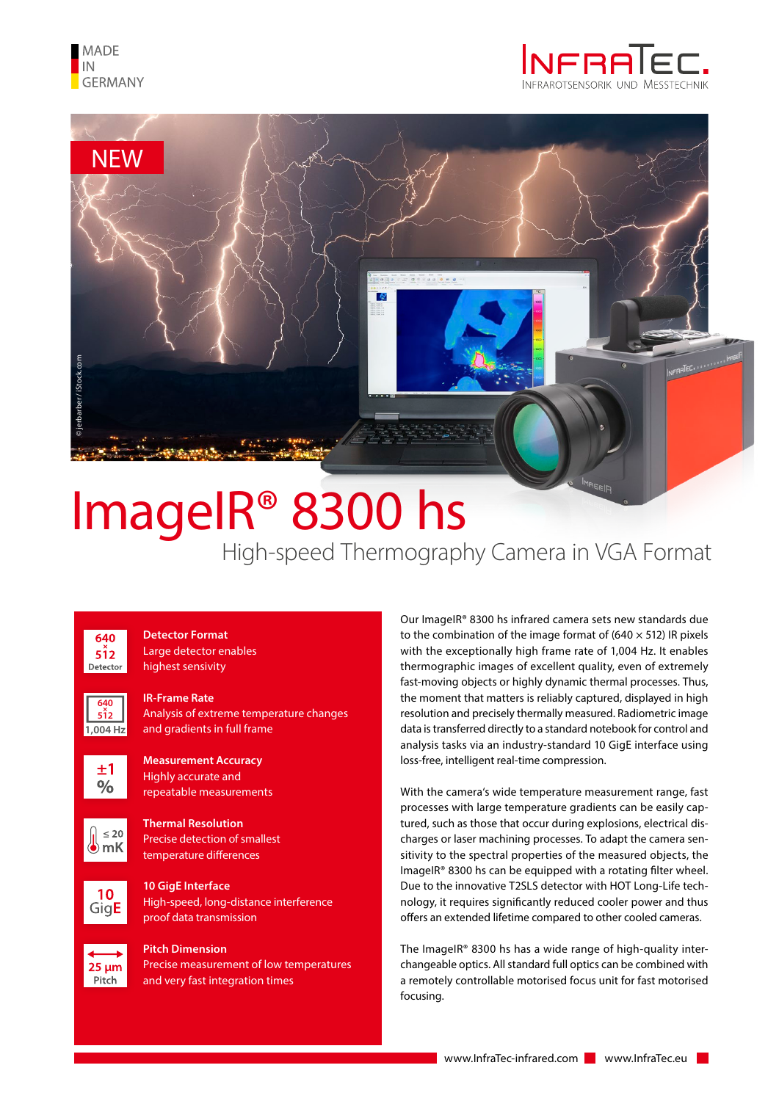





## High-speed Thermography Camera in VGA Format ImageIR® 8300 hs



**<sup>640</sup>**<sup>×</sup> **512 1,004 Hz** **Detector Format** Large detector enables highest sensivity

## **IR-Frame Rate**

Analysis of extreme temperature changes and gradients in full frame



**Measurement Accuracy** Highly accurate and repeatable measurements



**Thermal Resolution** Precise detection of smallest temperature differences



**10 GigE Interface** High-speed, long-distance interference proof data transmission



**Pitch Dimension** Precise measurement of low temperatures and very fast integration times

Our ImageIR® 8300 hs infrared camera sets new standards due to the combination of the image format of (640  $\times$  512) IR pixels with the exceptionally high frame rate of 1,004 Hz. It enables thermographic images of excellent quality, even of extremely fast-moving objects or highly dynamic thermal processes. Thus, the moment that matters is reliably captured, displayed in high resolution and precisely thermally measured. Radiometric image data is transferred directly to a standard notebook for control and analysis tasks via an industry-standard 10 GigE interface using loss-free, intelligent real-time compression.

With the camera's wide temperature measurement range, fast processes with large temperature gradients can be easily captured, such as those that occur during explosions, electrical discharges or laser machining processes. To adapt the camera sensitivity to the spectral properties of the measured objects, the ImageIR® 8300 hs can be equipped with a rotating filter wheel. Due to the innovative T2SLS detector with HOT Long-Life technology, it requires significantly reduced cooler power and thus offers an extended lifetime compared to other cooled cameras.

The ImageIR® 8300 hs has a wide range of high-quality interchangeable optics. All standard full optics can be combined with a remotely controllable motorised focus unit for fast motorised focusing.